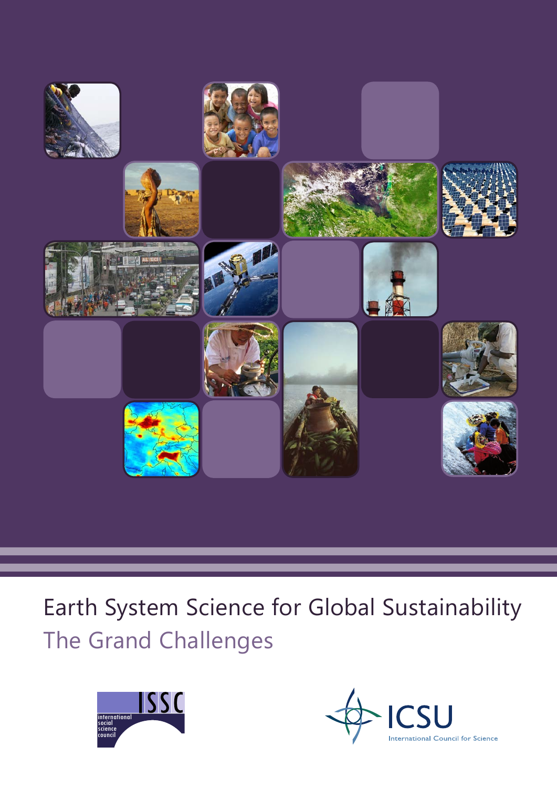

# Earth System Science for Global Sustainability The Grand Challenges



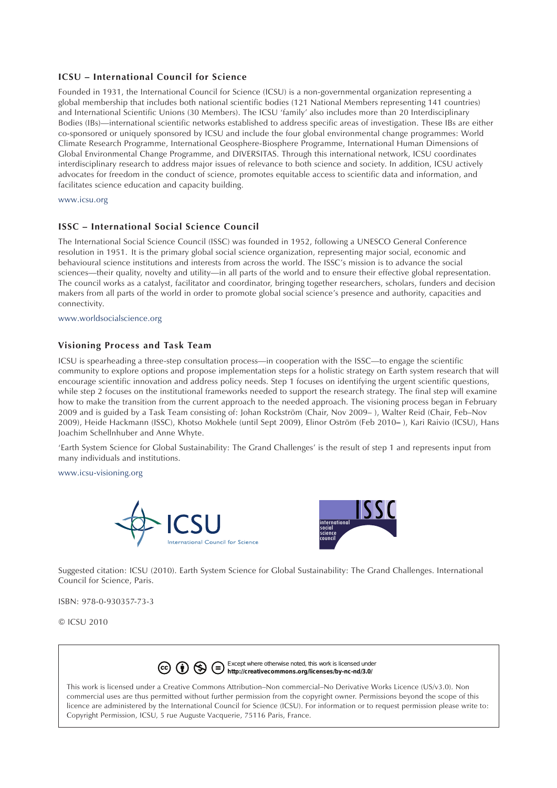### **ICSU – International Council for Science**

Founded in 1931, the International Council for Science (ICSU) is a non-governmental organization representing a global membership that includes both national scientific bodies (121 National Members representing 141 countries) and International Scientific Unions (30 Members). The ICSU 'family' also includes more than 20 Interdisciplinary Bodies (IBs)—international scientific networks established to address specific areas of investigation. These IBs are either co-sponsored or uniquely sponsored by ICSU and include the four global environmental change programmes: World Climate Research Programme, International Geosphere-Biosphere Programme, International Human Dimensions of Global Environmental Change Programme, and DIVERSITAS. Through this international network, ICSU coordinates interdisciplinary research to address major issues of relevance to both science and society. In addition, ICSU actively advocates for freedom in the conduct of science, promotes equitable access to scientific data and information, and facilitates science education and capacity building.

#### www.icsu.org

### **ISSC – International Social Science Council**

The International Social Science Council (ISSC) was founded in 1952, following a UNESCO General Conference resolution in 1951. It is the primary global social science organization, representing major social, economic and behavioural science institutions and interests from across the world. The ISSC's mission is to advance the social sciences—their quality, novelty and utility—in all parts of the world and to ensure their effective global representation. The council works as a catalyst, facilitator and coordinator, bringing together researchers, scholars, funders and decision makers from all parts of the world in order to promote global social science's presence and authority, capacities and connectivity.

www.worldsocialscience.org

### **Visioning Process and Task Team**

ICSU is spearheading a three-step consultation process—in cooperation with the ISSC—to engage the scientific community to explore options and propose implementation steps for a holistic strategy on Earth system research that will encourage scientific innovation and address policy needs. Step 1 focuses on identifying the urgent scientific questions, while step 2 focuses on the institutional frameworks needed to support the research strategy. The final step will examine how to make the transition from the current approach to the needed approach. The visioning process began in February 2009 and is guided by a Task Team consisting of: Johan Rockström (Chair, Nov 2009– ), Walter Reid (Chair, Feb–Nov 2009), Heide Hackmann (ISSC), Khotso Mokhele (until Sept 2009**)**, Elinor Oström (Feb 2010**–** ), Kari Raivio (ICSU), Hans Joachim Schellnhuber and Anne Whyte.

'Earth System Science for Global Sustainability: The Grand Challenges' is the result of step 1 and represents input from many individuals and institutions.

www.icsu-visioning.org





Suggested citation: ICSU (2010). Earth System Science for Global Sustainability: The Grand Challenges. International Council for Science, Paris.

ISBN: 978-0-930357-73-3

© ICSU 2010



This work is licensed under a Creative Commons Attribution–Non commercial–No Derivative Works Licence (US/v3.0). Non commercial uses are thus permitted without further permission from the copyright owner. Permissions beyond the scope of this licence are administered by the International Council for Science (ICSU). For information or to request permission please write to: Copyright Permission, ICSU, 5 rue Auguste Vacquerie, 75116 Paris, France.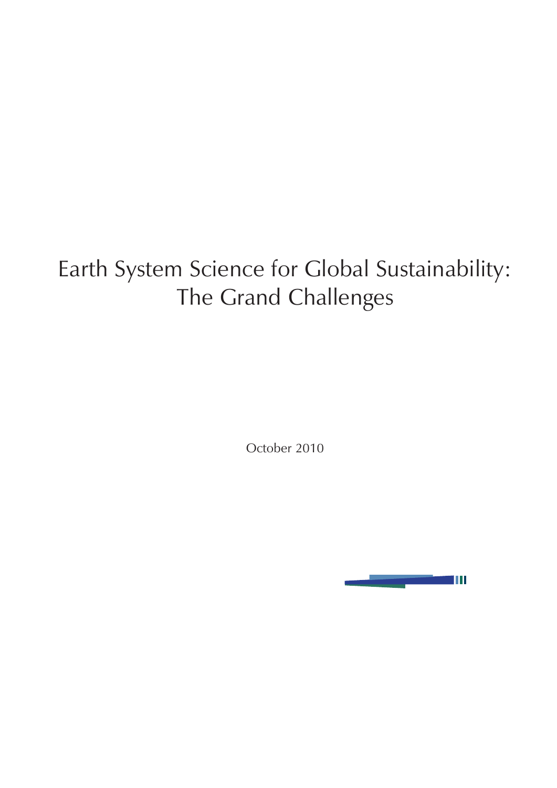# Earth System Science for Global Sustainability: The Grand Challenges

October 2010

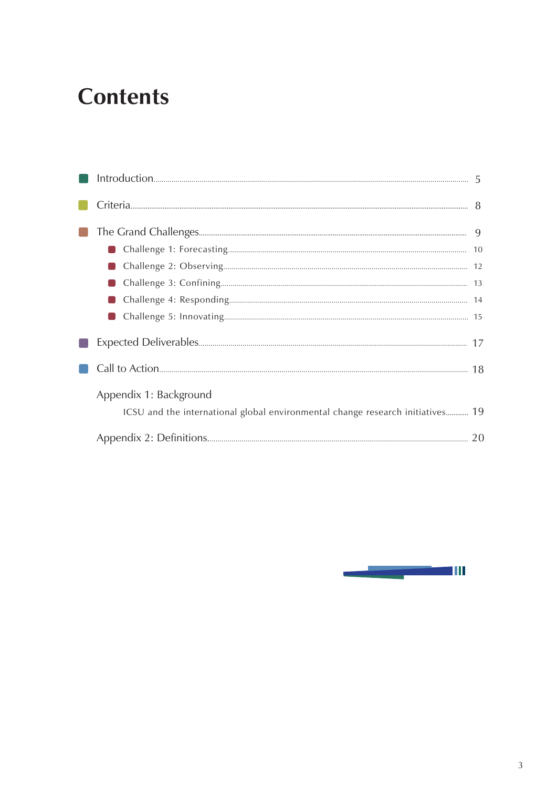## **Contents**

| Appendix 1: Background                                                         |  |
|--------------------------------------------------------------------------------|--|
| ICSU and the international global environmental change research initiatives 19 |  |
|                                                                                |  |

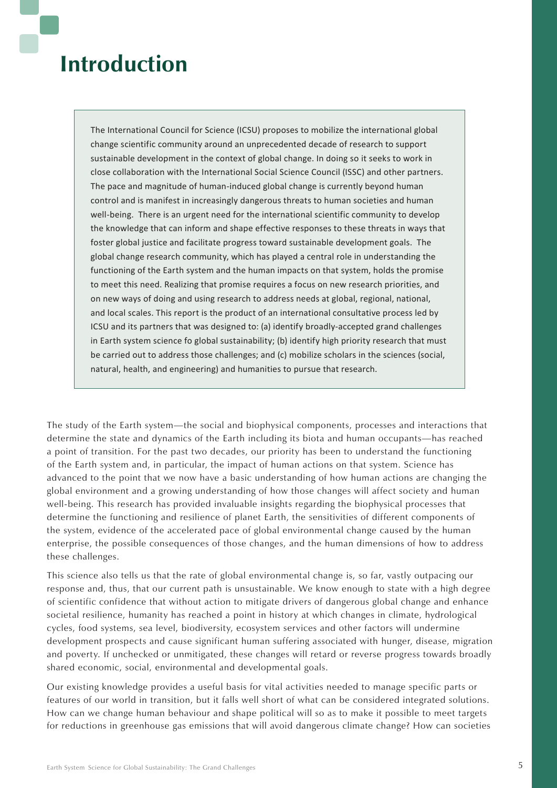## **Introduction**

The International Council for Science (ICSU) proposes to mobilize the international global change scientific community around an unprecedented decade of research to support sustainable development in the context of global change. In doing so it seeks to work in close collaboration with the International Social Science Council (ISSC) and other partners. The pace and magnitude of human-induced global change is currently beyond human control and is manifest in increasingly dangerous threats to human societies and human well-being. There is an urgent need for the international scientific community to develop the knowledge that can inform and shape effective responses to these threats in ways that foster global justice and facilitate progress toward sustainable development goals. The global change research community, which has played a central role in understanding the functioning of the Earth system and the human impacts on that system, holds the promise to meet this need. Realizing that promise requires a focus on new research priorities, and on new ways of doing and using research to address needs at global, regional, national, and local scales. This report is the product of an international consultative process led by ICSU and its partners that was designed to: (a) identify broadly-accepted grand challenges in Earth system science fo global sustainability; (b) identify high priority research that must be carried out to address those challenges; and (c) mobilize scholars in the sciences (social, natural, health, and engineering) and humanities to pursue that research.

The study of the Earth system—the social and biophysical components, processes and interactions that determine the state and dynamics of the Earth including its biota and human occupants—has reached a point of transition. For the past two decades, our priority has been to understand the functioning of the Earth system and, in particular, the impact of human actions on that system. Science has advanced to the point that we now have a basic understanding of how human actions are changing the global environment and a growing understanding of how those changes will affect society and human well-being. This research has provided invaluable insights regarding the biophysical processes that determine the functioning and resilience of planet Earth, the sensitivities of different components of the system, evidence of the accelerated pace of global environmental change caused by the human enterprise, the possible consequences of those changes, and the human dimensions of how to address these challenges.

This science also tells us that the rate of global environmental change is, so far, vastly outpacing our response and, thus, that our current path is unsustainable. We know enough to state with a high degree of scientific confidence that without action to mitigate drivers of dangerous global change and enhance societal resilience, humanity has reached a point in history at which changes in climate, hydrological cycles, food systems, sea level, biodiversity, ecosystem services and other factors will undermine development prospects and cause significant human suffering associated with hunger, disease, migration and poverty. If unchecked or unmitigated, these changes will retard or reverse progress towards broadly shared economic, social, environmental and developmental goals.

Our existing knowledge provides a useful basis for vital activities needed to manage specific parts or features of our world in transition, but it falls well short of what can be considered integrated solutions. How can we change human behaviour and shape political will so as to make it possible to meet targets for reductions in greenhouse gas emissions that will avoid dangerous climate change? How can societies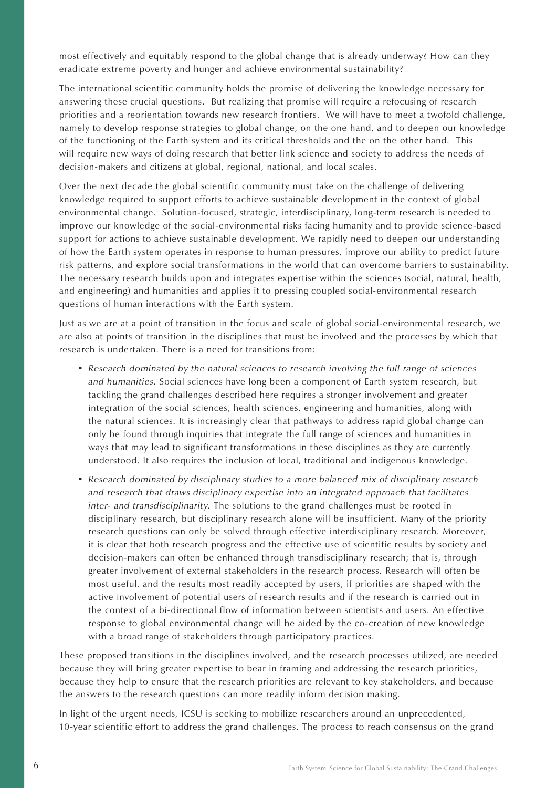most effectively and equitably respond to the global change that is already underway? How can they eradicate extreme poverty and hunger and achieve environmental sustainability?

The international scientific community holds the promise of delivering the knowledge necessary for answering these crucial questions. But realizing that promise will require a refocusing of research priorities and a reorientation towards new research frontiers. We will have to meet a twofold challenge, namely to develop response strategies to global change, on the one hand, and to deepen our knowledge of the functioning of the Earth system and its critical thresholds and the on the other hand. This will require new ways of doing research that better link science and society to address the needs of decision-makers and citizens at global, regional, national, and local scales.

Over the next decade the global scientific community must take on the challenge of delivering knowledge required to support efforts to achieve sustainable development in the context of global environmental change. Solution-focused, strategic, interdisciplinary, long-term research is needed to improve our knowledge of the social-environmental risks facing humanity and to provide science-based support for actions to achieve sustainable development. We rapidly need to deepen our understanding of how the Earth system operates in response to human pressures, improve our ability to predict future risk patterns, and explore social transformations in the world that can overcome barriers to sustainability. The necessary research builds upon and integrates expertise within the sciences (social, natural, health, and engineering) and humanities and applies it to pressing coupled social-environmental research questions of human interactions with the Earth system.

Just as we are at a point of transition in the focus and scale of global social-environmental research, we are also at points of transition in the disciplines that must be involved and the processes by which that research is undertaken. There is a need for transitions from:

- *Research dominated by the natural sciences to research involving the full range of sciences and humanities.* Social sciences have long been a component of Earth system research, but tackling the grand challenges described here requires a stronger involvement and greater integration of the social sciences, health sciences, engineering and humanities, along with the natural sciences. It is increasingly clear that pathways to address rapid global change can only be found through inquiries that integrate the full range of sciences and humanities in ways that may lead to significant transformations in these disciplines as they are currently understood. It also requires the inclusion of local, traditional and indigenous knowledge.
- *Research dominated by disciplinary studies to a more balanced mix of disciplinary research and research that draws disciplinary expertise into an integrated approach that facilitates inter- and transdisciplinarity.* The solutions to the grand challenges must be rooted in disciplinary research, but disciplinary research alone will be insufficient. Many of the priority research questions can only be solved through effective interdisciplinary research. Moreover, it is clear that both research progress and the effective use of scientific results by society and decision-makers can often be enhanced through transdisciplinary research; that is, through greater involvement of external stakeholders in the research process. Research will often be most useful, and the results most readily accepted by users, if priorities are shaped with the active involvement of potential users of research results and if the research is carried out in the context of a bi-directional flow of information between scientists and users. An effective response to global environmental change will be aided by the co-creation of new knowledge with a broad range of stakeholders through participatory practices.

These proposed transitions in the disciplines involved, and the research processes utilized, are needed because they will bring greater expertise to bear in framing and addressing the research priorities, because they help to ensure that the research priorities are relevant to key stakeholders, and because the answers to the research questions can more readily inform decision making.

In light of the urgent needs, ICSU is seeking to mobilize researchers around an unprecedented, 10-year scientific effort to address the grand challenges. The process to reach consensus on the grand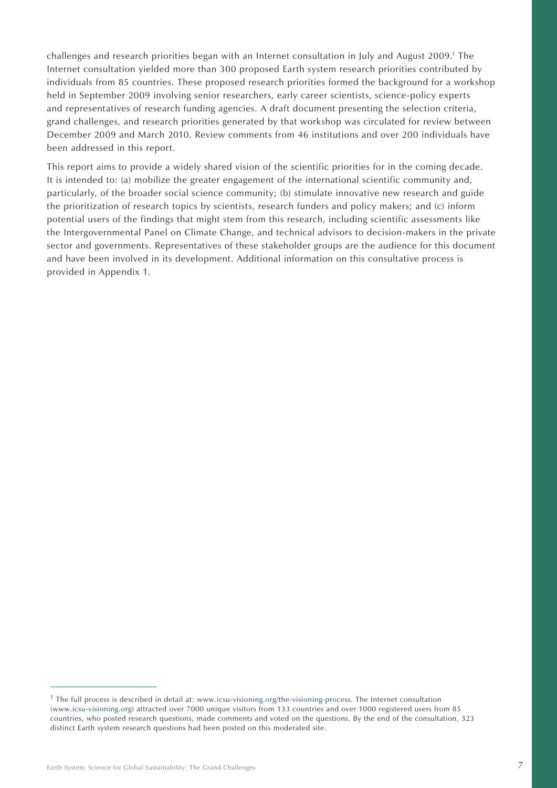challenges and research priorities began with an Internet consultation in July and August 2009.<sup>1</sup> The Internet consultation yielded more than 300 proposed Earth system research priorities contributed by individuals from 85 countries. These proposed research priorities formed the background for a workshop held in September 2009 involving senior researchers, early career scientists, science-policy experts and representatives of research funding agencies. A draft document presenting the selection criteria, grand challenges, and research priorities generated by that workshop was circulated for review between December 2009 and March 2010. Review comments from 46 institutions and over 200 individuals have been addressed in this report.

This report aims to provide a widely shared vision of the scientific priorities for in the coming decade. It is intended to: (a) mobilize the greater engagement of the international scientific community and, particularly, of the broader social science community; (b) stimulate innovative new research and guide the prioritization of research topics by scientists, research funders and policy makers; and (c) inform potential users of the findings that might stem from this research, including scientific assessments like the Intergovernmental Panel on Climate Change, and technical advisors to decision-makers in the private sector and governments. Representatives of these stakeholder groups are the audience for this document and have been involved in its development. Additional information on this consultative process is provided in Appendix 1.

 $<sup>1</sup>$  The full process is described in detail at: www.icsu-visioning.org/the-visioning-process. The Internet consultation</sup> (www.icsu-visioning.org) attracted over 7000 unique visitors from 133 countries and over 1000 registered users from 85 countries, who posted research questions, made comments and voted on the questions. By the end of the consultation, 323 distinct Earth system research questions had been posted on this moderated site.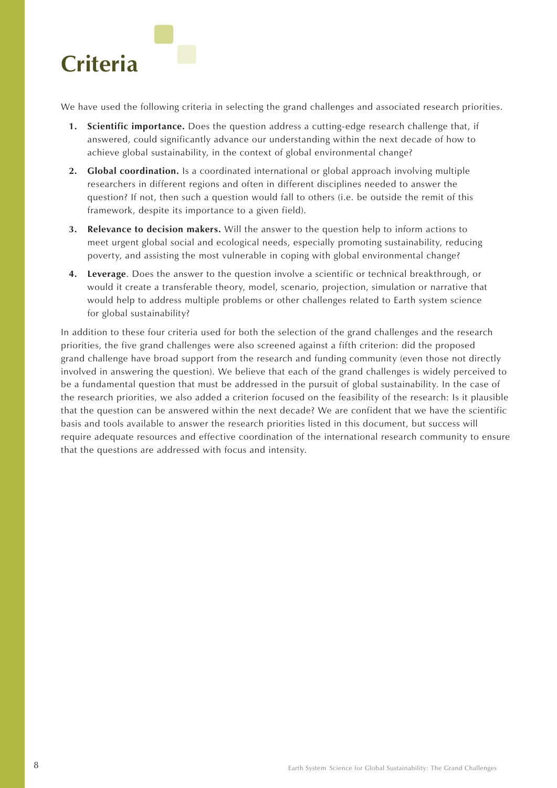

We have used the following criteria in selecting the grand challenges and associated research priorities.

- **1. Scientific importance.** Does the question address a cutting-edge research challenge that, if answered, could significantly advance our understanding within the next decade of how to achieve global sustainability, in the context of global environmental change?
- **2. Global coordination.** Is a coordinated international or global approach involving multiple researchers in different regions and often in different disciplines needed to answer the question? If not, then such a question would fall to others (i.e. be outside the remit of this framework, despite its importance to a given field).
- **3. Relevance to decision makers.** Will the answer to the question help to inform actions to meet urgent global social and ecological needs, especially promoting sustainability, reducing poverty, and assisting the most vulnerable in coping with global environmental change?
- **4. Leverage**. Does the answer to the question involve a scientific or technical breakthrough, or would it create a transferable theory, model, scenario, projection, simulation or narrative that would help to address multiple problems or other challenges related to Earth system science for global sustainability?

In addition to these four criteria used for both the selection of the grand challenges and the research priorities, the five grand challenges were also screened against a fifth criterion: did the proposed grand challenge have broad support from the research and funding community (even those not directly involved in answering the question). We believe that each of the grand challenges is widely perceived to be a fundamental question that must be addressed in the pursuit of global sustainability. In the case of the research priorities, we also added a criterion focused on the feasibility of the research: Is it plausible that the question can be answered within the next decade? We are confident that we have the scientific basis and tools available to answer the research priorities listed in this document, but success will require adequate resources and effective coordination of the international research community to ensure that the questions are addressed with focus and intensity.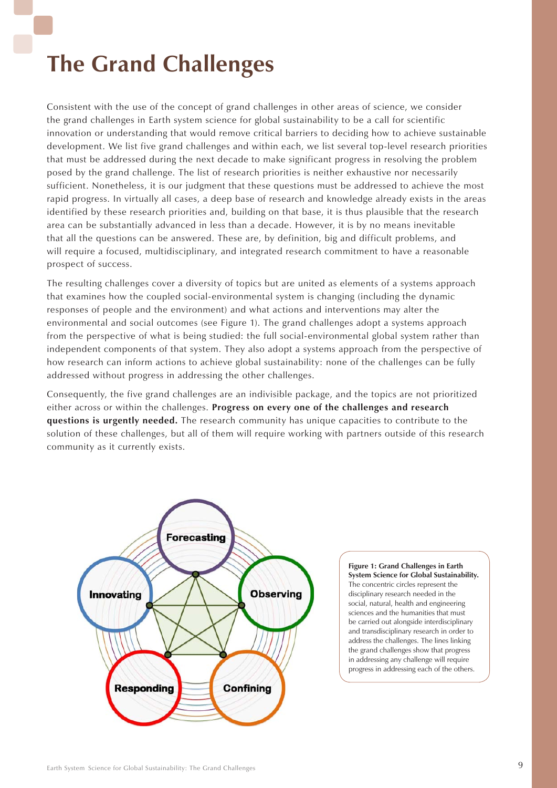# **The Grand Challenges**

Consistent with the use of the concept of grand challenges in other areas of science, we consider the grand challenges in Earth system science for global sustainability to be a call for scientific innovation or understanding that would remove critical barriers to deciding how to achieve sustainable development. We list five grand challenges and within each, we list several top-level research priorities that must be addressed during the next decade to make significant progress in resolving the problem posed by the grand challenge. The list of research priorities is neither exhaustive nor necessarily sufficient. Nonetheless, it is our judgment that these questions must be addressed to achieve the most rapid progress. In virtually all cases, a deep base of research and knowledge already exists in the areas identified by these research priorities and, building on that base, it is thus plausible that the research area can be substantially advanced in less than a decade. However, it is by no means inevitable that all the questions can be answered. These are, by definition, big and difficult problems, and will require a focused, multidisciplinary, and integrated research commitment to have a reasonable prospect of success.

The resulting challenges cover a diversity of topics but are united as elements of a systems approach that examines how the coupled social-environmental system is changing (including the dynamic responses of people and the environment) and what actions and interventions may alter the environmental and social outcomes (see Figure 1). The grand challenges adopt a systems approach from the perspective of what is being studied: the full social-environmental global system rather than independent components of that system. They also adopt a systems approach from the perspective of how research can inform actions to achieve global sustainability: none of the challenges can be fully addressed without progress in addressing the other challenges.

Consequently, the five grand challenges are an indivisible package, and the topics are not prioritized either across or within the challenges. **Progress on every one of the challenges and research questions is urgently needed.** The research community has unique capacities to contribute to the solution of these challenges, but all of them will require working with partners outside of this research community as it currently exists.



**Figure 1: Grand Challenges in Earth System Science for Global Sustainability.** The concentric circles represent the disciplinary research needed in the social, natural, health and engineering sciences and the humanities that must be carried out alongside interdisciplinary and transdisciplinary research in order to address the challenges. The lines linking the grand challenges show that progress in addressing any challenge will require progress in addressing each of the others.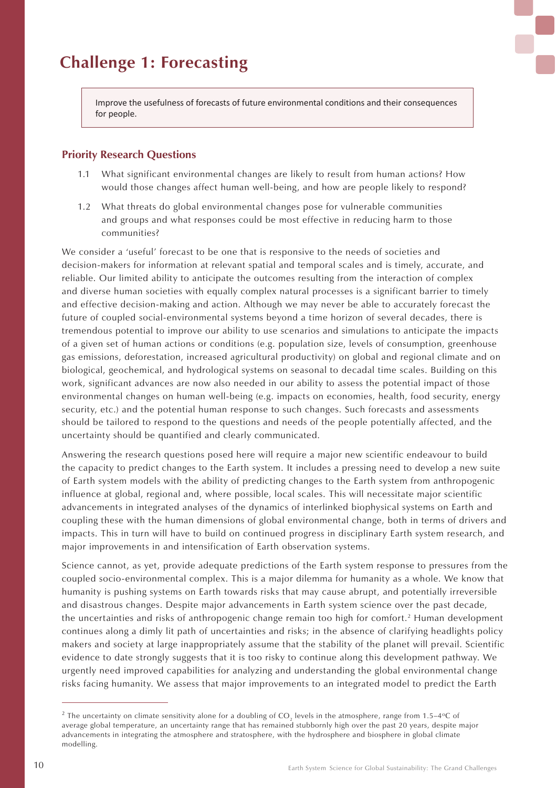Improve the usefulness of forecasts of future environmental conditions and their consequences for people.

### **Priority Research Questions**

- 1.1 What significant environmental changes are likely to result from human actions? How would those changes affect human well-being, and how are people likely to respond?
- 1.2 What threats do global environmental changes pose for vulnerable communities and groups and what responses could be most effective in reducing harm to those communities?

We consider a 'useful' forecast to be one that is responsive to the needs of societies and decision-makers for information at relevant spatial and temporal scales and is timely, accurate, and reliable. Our limited ability to anticipate the outcomes resulting from the interaction of complex and diverse human societies with equally complex natural processes is a significant barrier to timely and effective decision-making and action. Although we may never be able to accurately forecast the future of coupled social-environmental systems beyond a time horizon of several decades, there is tremendous potential to improve our ability to use scenarios and simulations to anticipate the impacts of a given set of human actions or conditions (e.g. population size, levels of consumption, greenhouse gas emissions, deforestation, increased agricultural productivity) on global and regional climate and on biological, geochemical, and hydrological systems on seasonal to decadal time scales. Building on this work, significant advances are now also needed in our ability to assess the potential impact of those environmental changes on human well-being (e.g. impacts on economies, health, food security, energy security, etc.) and the potential human response to such changes. Such forecasts and assessments should be tailored to respond to the questions and needs of the people potentially affected, and the uncertainty should be quantified and clearly communicated.

Answering the research questions posed here will require a major new scientific endeavour to build the capacity to predict changes to the Earth system. It includes a pressing need to develop a new suite of Earth system models with the ability of predicting changes to the Earth system from anthropogenic influence at global, regional and, where possible, local scales. This will necessitate major scientific advancements in integrated analyses of the dynamics of interlinked biophysical systems on Earth and coupling these with the human dimensions of global environmental change, both in terms of drivers and impacts. This in turn will have to build on continued progress in disciplinary Earth system research, and major improvements in and intensification of Earth observation systems.

Science cannot, as yet, provide adequate predictions of the Earth system response to pressures from the coupled socio-environmental complex. This is a major dilemma for humanity as a whole. We know that humanity is pushing systems on Earth towards risks that may cause abrupt, and potentially irreversible and disastrous changes. Despite major advancements in Earth system science over the past decade, the uncertainties and risks of anthropogenic change remain too high for comfort.2 Human development continues along a dimly lit path of uncertainties and risks; in the absence of clarifying headlights policy makers and society at large inappropriately assume that the stability of the planet will prevail. Scientific evidence to date strongly suggests that it is too risky to continue along this development pathway. We urgently need improved capabilities for analyzing and understanding the global environmental change risks facing humanity. We assess that major improvements to an integrated model to predict the Earth

<sup>&</sup>lt;sup>2</sup> The uncertainty on climate sensitivity alone for a doubling of CO<sub>2</sub> levels in the atmosphere, range from 1.5–4<sup>o</sup>C of average global temperature, an uncertainty range that has remained stubbornly high over the past 20 years, despite major advancements in integrating the atmosphere and stratosphere, with the hydrosphere and biosphere in global climate modelling.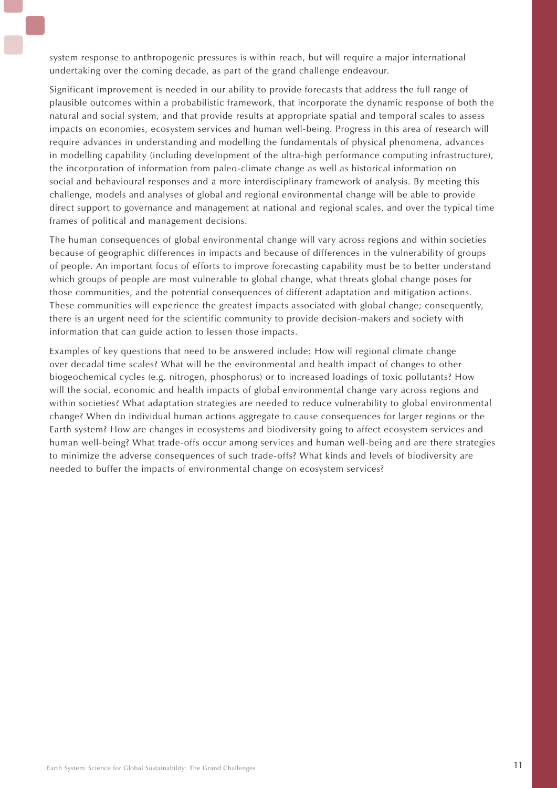system response to anthropogenic pressures is within reach, but will require a major international undertaking over the coming decade, as part of the grand challenge endeavour.

Significant improvement is needed in our ability to provide forecasts that address the full range of plausible outcomes within a probabilistic framework, that incorporate the dynamic response of both the natural and social system, and that provide results at appropriate spatial and temporal scales to assess impacts on economies, ecosystem services and human well-being. Progress in this area of research will require advances in understanding and modelling the fundamentals of physical phenomena, advances in modelling capability (including development of the ultra-high performance computing infrastructure), the incorporation of information from paleo-climate change as well as historical information on social and behavioural responses and a more interdisciplinary framework of analysis. By meeting this challenge, models and analyses of global and regional environmental change will be able to provide direct support to governance and management at national and regional scales, and over the typical time frames of political and management decisions.

The human consequences of global environmental change will vary across regions and within societies because of geographic differences in impacts and because of differences in the vulnerability of groups of people. An important focus of efforts to improve forecasting capability must be to better understand which groups of people are most vulnerable to global change, what threats global change poses for those communities, and the potential consequences of different adaptation and mitigation actions. These communities will experience the greatest impacts associated with global change; consequently, there is an urgent need for the scientific community to provide decision-makers and society with information that can guide action to lessen those impacts.

Examples of key questions that need to be answered include: How will regional climate change over decadal time scales? What will be the environmental and health impact of changes to other biogeochemical cycles (e.g. nitrogen, phosphorus) or to increased loadings of toxic pollutants? How will the social, economic and health impacts of global environmental change vary across regions and within societies? What adaptation strategies are needed to reduce vulnerability to global environmental change? When do individual human actions aggregate to cause consequences for larger regions or the Earth system? How are changes in ecosystems and biodiversity going to affect ecosystem services and human well-being? What trade-offs occur among services and human well-being and are there strategies to minimize the adverse consequences of such trade-offs? What kinds and levels of biodiversity are needed to buffer the impacts of environmental change on ecosystem services?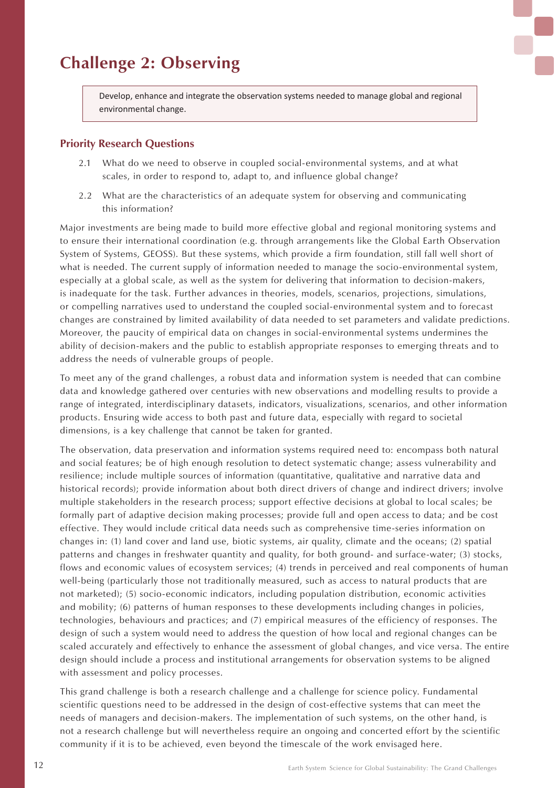### **Challenge 2: Observing**

Develop, enhance and integrate the observation systems needed to manage global and regional environmental change.

### **Priority Research Questions**

- 2.1 What do we need to observe in coupled social-environmental systems, and at what scales, in order to respond to, adapt to, and influence global change?
- 2.2 What are the characteristics of an adequate system for observing and communicating this information?

Major investments are being made to build more effective global and regional monitoring systems and to ensure their international coordination (e.g. through arrangements like the Global Earth Observation System of Systems, GEOSS). But these systems, which provide a firm foundation, still fall well short of what is needed. The current supply of information needed to manage the socio-environmental system, especially at a global scale, as well as the system for delivering that information to decision-makers, is inadequate for the task. Further advances in theories, models, scenarios, projections, simulations, or compelling narratives used to understand the coupled social-environmental system and to forecast changes are constrained by limited availability of data needed to set parameters and validate predictions. Moreover, the paucity of empirical data on changes in social-environmental systems undermines the ability of decision-makers and the public to establish appropriate responses to emerging threats and to address the needs of vulnerable groups of people.

To meet any of the grand challenges, a robust data and information system is needed that can combine data and knowledge gathered over centuries with new observations and modelling results to provide a range of integrated, interdisciplinary datasets, indicators, visualizations, scenarios, and other information products. Ensuring wide access to both past and future data, especially with regard to societal dimensions, is a key challenge that cannot be taken for granted.

The observation, data preservation and information systems required need to: encompass both natural and social features; be of high enough resolution to detect systematic change; assess vulnerability and resilience; include multiple sources of information (quantitative, qualitative and narrative data and historical records); provide information about both direct drivers of change and indirect drivers; involve multiple stakeholders in the research process; support effective decisions at global to local scales; be formally part of adaptive decision making processes; provide full and open access to data; and be cost effective. They would include critical data needs such as comprehensive time-series information on changes in: (1) land cover and land use, biotic systems, air quality, climate and the oceans; (2) spatial patterns and changes in freshwater quantity and quality, for both ground- and surface-water; (3) stocks, flows and economic values of ecosystem services; (4) trends in perceived and real components of human well-being (particularly those not traditionally measured, such as access to natural products that are not marketed); (5) socio-economic indicators, including population distribution, economic activities and mobility; (6) patterns of human responses to these developments including changes in policies, technologies, behaviours and practices; and (7) empirical measures of the efficiency of responses. The design of such a system would need to address the question of how local and regional changes can be scaled accurately and effectively to enhance the assessment of global changes, and vice versa. The entire design should include a process and institutional arrangements for observation systems to be aligned with assessment and policy processes.

This grand challenge is both a research challenge and a challenge for science policy. Fundamental scientific questions need to be addressed in the design of cost-effective systems that can meet the needs of managers and decision-makers. The implementation of such systems, on the other hand, is not a research challenge but will nevertheless require an ongoing and concerted effort by the scientific community if it is to be achieved, even beyond the timescale of the work envisaged here.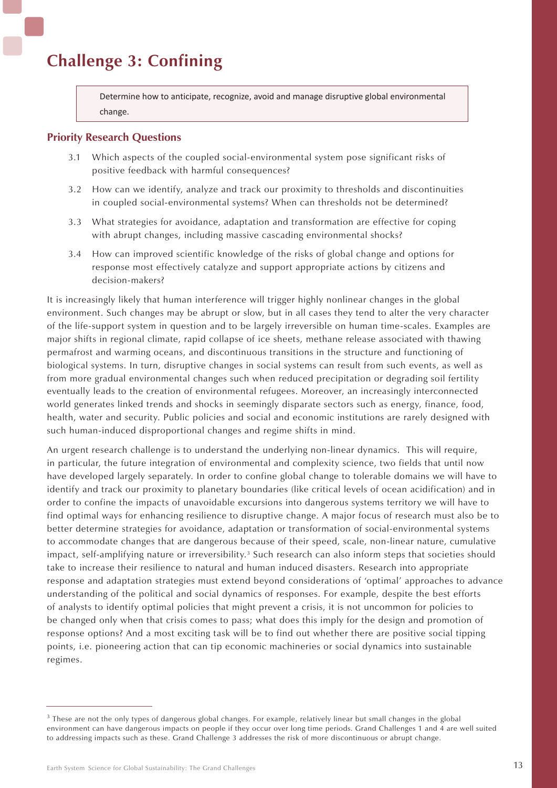### **Challenge 3: Confining**

Determine how to anticipate, recognize, avoid and manage disruptive global environmental change.

### **Priority Research Questions**

- 3.1 Which aspects of the coupled social-environmental system pose significant risks of positive feedback with harmful consequences?
- 3.2 How can we identify, analyze and track our proximity to thresholds and discontinuities in coupled social-environmental systems? When can thresholds not be determined?
- 3.3 What strategies for avoidance, adaptation and transformation are effective for coping with abrupt changes, including massive cascading environmental shocks?
- 3.4 How can improved scientific knowledge of the risks of global change and options for response most effectively catalyze and support appropriate actions by citizens and decision-makers?

It is increasingly likely that human interference will trigger highly nonlinear changes in the global environment. Such changes may be abrupt or slow, but in all cases they tend to alter the very character of the life-support system in question and to be largely irreversible on human time-scales. Examples are major shifts in regional climate, rapid collapse of ice sheets, methane release associated with thawing permafrost and warming oceans, and discontinuous transitions in the structure and functioning of biological systems. In turn, disruptive changes in social systems can result from such events, as well as from more gradual environmental changes such when reduced precipitation or degrading soil fertility eventually leads to the creation of environmental refugees. Moreover, an increasingly interconnected world generates linked trends and shocks in seemingly disparate sectors such as energy, finance, food, health, water and security. Public policies and social and economic institutions are rarely designed with such human-induced disproportional changes and regime shifts in mind.

An urgent research challenge is to understand the underlying non-linear dynamics. This will require, in particular, the future integration of environmental and complexity science, two fields that until now have developed largely separately. In order to confine global change to tolerable domains we will have to identify and track our proximity to planetary boundaries (like critical levels of ocean acidification) and in order to confine the impacts of unavoidable excursions into dangerous systems territory we will have to find optimal ways for enhancing resilience to disruptive change. A major focus of research must also be to better determine strategies for avoidance, adaptation or transformation of social-environmental systems to accommodate changes that are dangerous because of their speed, scale, non-linear nature, cumulative impact, self-amplifying nature or irreversibility.<sup>3</sup> Such research can also inform steps that societies should take to increase their resilience to natural and human induced disasters. Research into appropriate response and adaptation strategies must extend beyond considerations of 'optimal' approaches to advance understanding of the political and social dynamics of responses. For example, despite the best efforts of analysts to identify optimal policies that might prevent a crisis, it is not uncommon for policies to be changed only when that crisis comes to pass; what does this imply for the design and promotion of response options? And a most exciting task will be to find out whether there are positive social tipping points, i.e. pioneering action that can tip economic machineries or social dynamics into sustainable regimes.

<sup>&</sup>lt;sup>3</sup> These are not the only types of dangerous global changes. For example, relatively linear but small changes in the global environment can have dangerous impacts on people if they occur over long time periods. Grand Challenges 1 and 4 are well suited to addressing impacts such as these. Grand Challenge 3 addresses the risk of more discontinuous or abrupt change.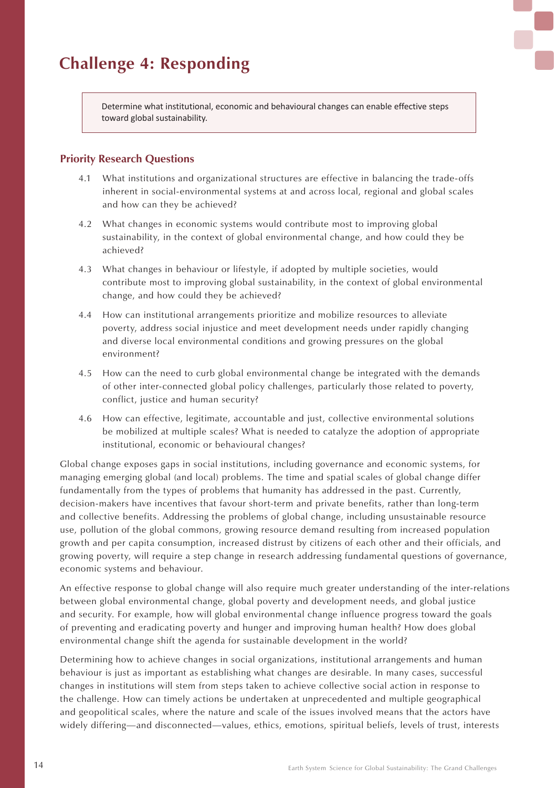

Determine what institutional, economic and behavioural changes can enable effective steps toward global sustainability.

### **Priority Research Questions**

- 4.1 What institutions and organizational structures are effective in balancing the trade-offs inherent in social-environmental systems at and across local, regional and global scales and how can they be achieved?
- 4.2 What changes in economic systems would contribute most to improving global sustainability, in the context of global environmental change, and how could they be achieved?
- 4.3 What changes in behaviour or lifestyle, if adopted by multiple societies, would contribute most to improving global sustainability, in the context of global environmental change, and how could they be achieved?
- 4.4 How can institutional arrangements prioritize and mobilize resources to alleviate poverty, address social injustice and meet development needs under rapidly changing and diverse local environmental conditions and growing pressures on the global environment?
- 4.5 How can the need to curb global environmental change be integrated with the demands of other inter-connected global policy challenges, particularly those related to poverty, conflict, justice and human security?
- 4.6 How can effective, legitimate, accountable and just, collective environmental solutions be mobilized at multiple scales? What is needed to catalyze the adoption of appropriate institutional, economic or behavioural changes?

Global change exposes gaps in social institutions, including governance and economic systems, for managing emerging global (and local) problems. The time and spatial scales of global change differ fundamentally from the types of problems that humanity has addressed in the past. Currently, decision-makers have incentives that favour short-term and private benefits, rather than long-term and collective benefits. Addressing the problems of global change, including unsustainable resource use, pollution of the global commons, growing resource demand resulting from increased population growth and per capita consumption, increased distrust by citizens of each other and their officials, and growing poverty, will require a step change in research addressing fundamental questions of governance, economic systems and behaviour.

An effective response to global change will also require much greater understanding of the inter-relations between global environmental change, global poverty and development needs, and global justice and security. For example, how will global environmental change influence progress toward the goals of preventing and eradicating poverty and hunger and improving human health? How does global environmental change shift the agenda for sustainable development in the world?

Determining how to achieve changes in social organizations, institutional arrangements and human behaviour is just as important as establishing what changes are desirable. In many cases, successful changes in institutions will stem from steps taken to achieve collective social action in response to the challenge. How can timely actions be undertaken at unprecedented and multiple geographical and geopolitical scales, where the nature and scale of the issues involved means that the actors have widely differing—and disconnected—values, ethics, emotions, spiritual beliefs, levels of trust, interests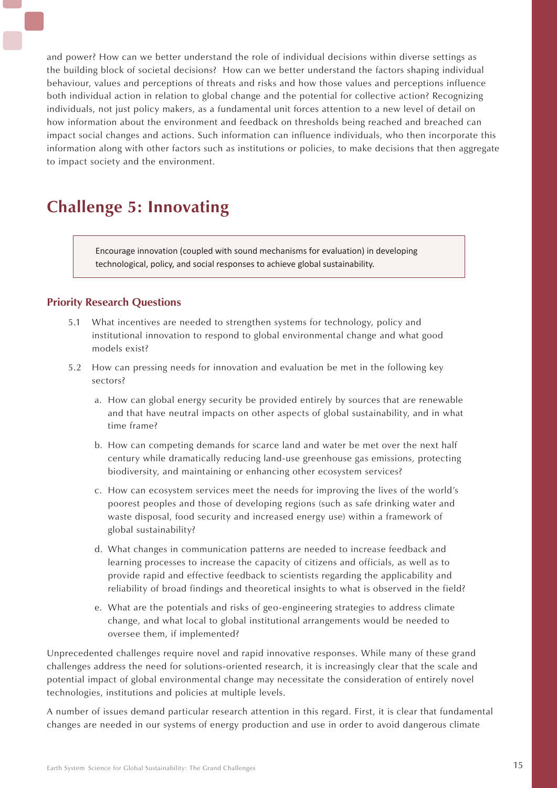and power? How can we better understand the role of individual decisions within diverse settings as the building block of societal decisions? How can we better understand the factors shaping individual behaviour, values and perceptions of threats and risks and how those values and perceptions influence both individual action in relation to global change and the potential for collective action? Recognizing individuals, not just policy makers, as a fundamental unit forces attention to a new level of detail on how information about the environment and feedback on thresholds being reached and breached can impact social changes and actions. Such information can influence individuals, who then incorporate this information along with other factors such as institutions or policies, to make decisions that then aggregate to impact society and the environment.

### **Challenge 5: Innovating**

Encourage innovation (coupled with sound mechanisms for evaluation) in developing technological, policy, and social responses to achieve global sustainability.

### **Priority Research Questions**

- 5.1 What incentives are needed to strengthen systems for technology, policy and institutional innovation to respond to global environmental change and what good models exist?
- 5.2 How can pressing needs for innovation and evaluation be met in the following key sectors?
	- a. How can global energy security be provided entirely by sources that are renewable and that have neutral impacts on other aspects of global sustainability, and in what time frame?
	- b. How can competing demands for scarce land and water be met over the next half century while dramatically reducing land-use greenhouse gas emissions, protecting biodiversity, and maintaining or enhancing other ecosystem services?
	- c. How can ecosystem services meet the needs for improving the lives of the world's poorest peoples and those of developing regions (such as safe drinking water and waste disposal, food security and increased energy use) within a framework of global sustainability?
	- d. What changes in communication patterns are needed to increase feedback and learning processes to increase the capacity of citizens and officials, as well as to provide rapid and effective feedback to scientists regarding the applicability and reliability of broad findings and theoretical insights to what is observed in the field?
	- e. What are the potentials and risks of geo-engineering strategies to address climate change, and what local to global institutional arrangements would be needed to oversee them, if implemented?

Unprecedented challenges require novel and rapid innovative responses. While many of these grand challenges address the need for solutions-oriented research, it is increasingly clear that the scale and potential impact of global environmental change may necessitate the consideration of entirely novel technologies, institutions and policies at multiple levels.

A number of issues demand particular research attention in this regard. First, it is clear that fundamental changes are needed in our systems of energy production and use in order to avoid dangerous climate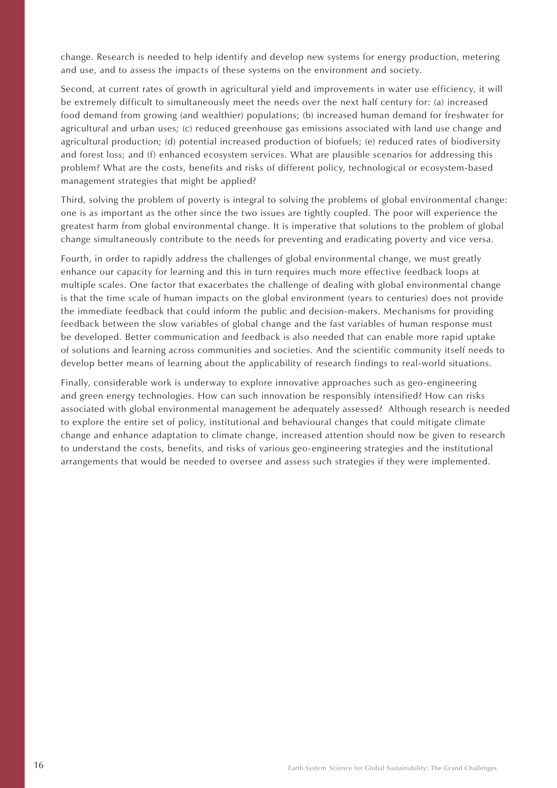change. Research is needed to help identify and develop new systems for energy production, metering and use, and to assess the impacts of these systems on the environment and society.

Second, at current rates of growth in agricultural yield and improvements in water use efficiency, it will be extremely difficult to simultaneously meet the needs over the next half century for: (a) increased food demand from growing (and wealthier) populations; (b) increased human demand for freshwater for agricultural and urban uses; (c) reduced greenhouse gas emissions associated with land use change and agricultural production; (d) potential increased production of biofuels; (e) reduced rates of biodiversity and forest loss; and (f) enhanced ecosystem services. What are plausible scenarios for addressing this problem? What are the costs, benefits and risks of different policy, technological or ecosystem-based management strategies that might be applied?

Third, solving the problem of poverty is integral to solving the problems of global environmental change: one is as important as the other since the two issues are tightly coupled. The poor will experience the greatest harm from global environmental change. It is imperative that solutions to the problem of global change simultaneously contribute to the needs for preventing and eradicating poverty and vice versa.

Fourth, in order to rapidly address the challenges of global environmental change, we must greatly enhance our capacity for learning and this in turn requires much more effective feedback loops at multiple scales. One factor that exacerbates the challenge of dealing with global environmental change is that the time scale of human impacts on the global environment (years to centuries) does not provide the immediate feedback that could inform the public and decision-makers. Mechanisms for providing feedback between the slow variables of global change and the fast variables of human response must be developed. Better communication and feedback is also needed that can enable more rapid uptake of solutions and learning across communities and societies. And the scientific community itself needs to develop better means of learning about the applicability of research findings to real-world situations.

Finally, considerable work is underway to explore innovative approaches such as geo-engineering and green energy technologies. How can such innovation be responsibly intensified? How can risks associated with global environmental management be adequately assessed? Although research is needed to explore the entire set of policy, institutional and behavioural changes that could mitigate climate change and enhance adaptation to climate change, increased attention should now be given to research to understand the costs, benefits, and risks of various geo-engineering strategies and the institutional arrangements that would be needed to oversee and assess such strategies if they were implemented.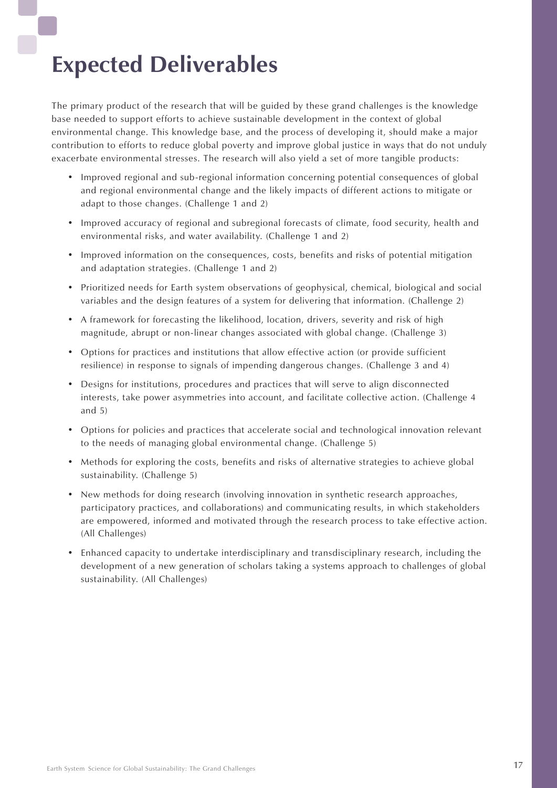# **Expected Deliverables**

The primary product of the research that will be guided by these grand challenges is the knowledge base needed to support efforts to achieve sustainable development in the context of global environmental change. This knowledge base, and the process of developing it, should make a major contribution to efforts to reduce global poverty and improve global justice in ways that do not unduly exacerbate environmental stresses. The research will also yield a set of more tangible products:

- Improved regional and sub-regional information concerning potential consequences of global and regional environmental change and the likely impacts of different actions to mitigate or adapt to those changes. (Challenge 1 and 2)
- Improved accuracy of regional and subregional forecasts of climate, food security, health and environmental risks, and water availability. (Challenge 1 and 2)
- Improved information on the consequences, costs, benefits and risks of potential mitigation and adaptation strategies. (Challenge 1 and 2)
- Prioritized needs for Earth system observations of geophysical, chemical, biological and social variables and the design features of a system for delivering that information. (Challenge 2)
- A framework for forecasting the likelihood, location, drivers, severity and risk of high magnitude, abrupt or non-linear changes associated with global change. (Challenge 3)
- • Options for practices and institutions that allow effective action (or provide sufficient resilience) in response to signals of impending dangerous changes. (Challenge 3 and 4)
- Designs for institutions, procedures and practices that will serve to align disconnected interests, take power asymmetries into account, and facilitate collective action. (Challenge 4 and 5)
- • Options for policies and practices that accelerate social and technological innovation relevant to the needs of managing global environmental change. (Challenge 5)
- Methods for exploring the costs, benefits and risks of alternative strategies to achieve global sustainability. (Challenge 5)
- New methods for doing research (involving innovation in synthetic research approaches, participatory practices, and collaborations) and communicating results, in which stakeholders are empowered, informed and motivated through the research process to take effective action. (All Challenges)
- Enhanced capacity to undertake interdisciplinary and transdisciplinary research, including the development of a new generation of scholars taking a systems approach to challenges of global sustainability. (All Challenges)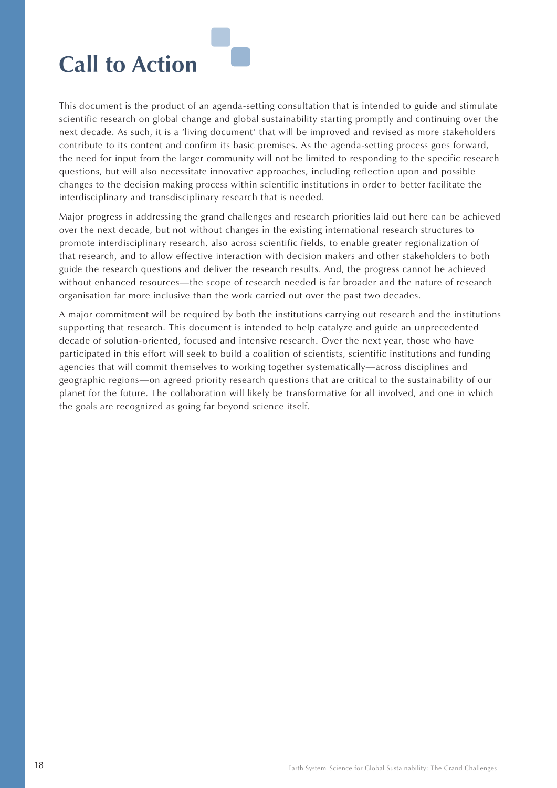

This document is the product of an agenda-setting consultation that is intended to guide and stimulate scientific research on global change and global sustainability starting promptly and continuing over the next decade. As such, it is a 'living document' that will be improved and revised as more stakeholders contribute to its content and confirm its basic premises. As the agenda-setting process goes forward, the need for input from the larger community will not be limited to responding to the specific research questions, but will also necessitate innovative approaches, including reflection upon and possible changes to the decision making process within scientific institutions in order to better facilitate the interdisciplinary and transdisciplinary research that is needed.

Major progress in addressing the grand challenges and research priorities laid out here can be achieved over the next decade, but not without changes in the existing international research structures to promote interdisciplinary research, also across scientific fields, to enable greater regionalization of that research, and to allow effective interaction with decision makers and other stakeholders to both guide the research questions and deliver the research results. And, the progress cannot be achieved without enhanced resources—the scope of research needed is far broader and the nature of research organisation far more inclusive than the work carried out over the past two decades.

A major commitment will be required by both the institutions carrying out research and the institutions supporting that research. This document is intended to help catalyze and guide an unprecedented decade of solution-oriented, focused and intensive research. Over the next year, those who have participated in this effort will seek to build a coalition of scientists, scientific institutions and funding agencies that will commit themselves to working together systematically—across disciplines and geographic regions—on agreed priority research questions that are critical to the sustainability of our planet for the future. The collaboration will likely be transformative for all involved, and one in which the goals are recognized as going far beyond science itself.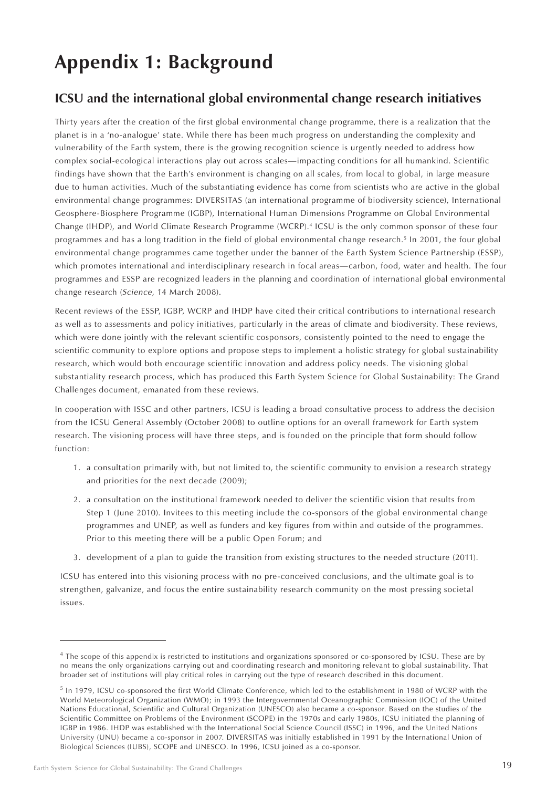## **Appendix 1: Background**

### **ICSU and the international global environmental change research initiatives**

Thirty years after the creation of the first global environmental change programme, there is a realization that the planet is in a 'no-analogue' state. While there has been much progress on understanding the complexity and vulnerability of the Earth system, there is the growing recognition science is urgently needed to address how complex social-ecological interactions play out across scales—impacting conditions for all humankind. Scientific findings have shown that the Earth's environment is changing on all scales, from local to global, in large measure due to human activities. Much of the substantiating evidence has come from scientists who are active in the global environmental change programmes: DIVERSITAS (an international programme of biodiversity science), International Geosphere-Biosphere Programme (IGBP), International Human Dimensions Programme on Global Environmental Change (IHDP), and World Climate Research Programme (WCRP).4 ICSU is the only common sponsor of these four programmes and has a long tradition in the field of global environmental change research.5 In 2001, the four global environmental change programmes came together under the banner of the Earth System Science Partnership (ESSP), which promotes international and interdisciplinary research in focal areas—carbon, food, water and health. The four programmes and ESSP are recognized leaders in the planning and coordination of international global environmental change research (*Science*, 14 March 2008).

Recent reviews of the ESSP, IGBP, WCRP and IHDP have cited their critical contributions to international research as well as to assessments and policy initiatives, particularly in the areas of climate and biodiversity. These reviews, which were done jointly with the relevant scientific cosponsors, consistently pointed to the need to engage the scientific community to explore options and propose steps to implement a holistic strategy for global sustainability research, which would both encourage scientific innovation and address policy needs. The visioning global substantiality research process, which has produced this Earth System Science for Global Sustainability: The Grand Challenges document, emanated from these reviews.

In cooperation with ISSC and other partners, ICSU is leading a broad consultative process to address the decision from the ICSU General Assembly (October 2008) to outline options for an overall framework for Earth system research. The visioning process will have three steps, and is founded on the principle that form should follow function:

- 1. a consultation primarily with, but not limited to, the scientific community to envision a research strategy and priorities for the next decade (2009);
- 2. a consultation on the institutional framework needed to deliver the scientific vision that results from Step 1 (June 2010). Invitees to this meeting include the co-sponsors of the global environmental change programmes and UNEP, as well as funders and key figures from within and outside of the programmes. Prior to this meeting there will be a public Open Forum; and
- 3. development of a plan to guide the transition from existing structures to the needed structure (2011).

ICSU has entered into this visioning process with no pre-conceived conclusions, and the ultimate goal is to strengthen, galvanize, and focus the entire sustainability research community on the most pressing societal issues.

<sup>&</sup>lt;sup>4</sup> The scope of this appendix is restricted to institutions and organizations sponsored or co-sponsored by ICSU. These are by no means the only organizations carrying out and coordinating research and monitoring relevant to global sustainability. That broader set of institutions will play critical roles in carrying out the type of research described in this document.

<sup>5</sup> In 1979, ICSU co-sponsored the first World Climate Conference, which led to the establishment in 1980 of WCRP with the World Meteorological Organization (WMO); in 1993 the Intergovernmental Oceanographic Commission (IOC) of the United Nations Educational, Scientific and Cultural Organization (UNESCO) also became a co-sponsor. Based on the studies of the Scientific Committee on Problems of the Environment (SCOPE) in the 1970s and early 1980s, ICSU initiated the planning of IGBP in 1986. IHDP was established with the International Social Science Council (ISSC) in 1996, and the United Nations University (UNU) became a co-sponsor in 2007. DIVERSITAS was initially established in 1991 by the International Union of Biological Sciences (IUBS), SCOPE and UNESCO. In 1996, ICSU joined as a co-sponsor.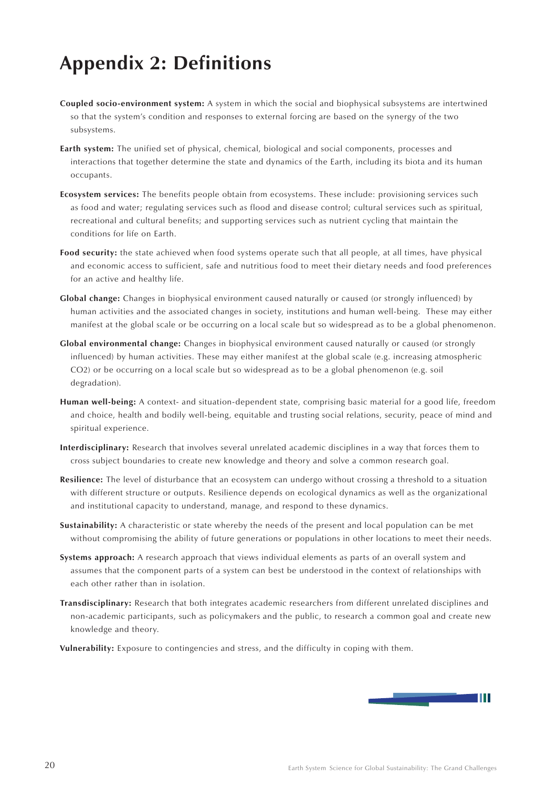## **Appendix 2: Definitions**

- **Coupled socio-environment system:** A system in which the social and biophysical subsystems are intertwined so that the system's condition and responses to external forcing are based on the synergy of the two subsystems.
- **Earth system:** The unified set of physical, chemical, biological and social components, processes and interactions that together determine the state and dynamics of the Earth, including its biota and its human occupants.
- **Ecosystem services:** The benefits people obtain from ecosystems. These include: provisioning services such as food and water; regulating services such as flood and disease control; cultural services such as spiritual, recreational and cultural benefits; and supporting services such as nutrient cycling that maintain the conditions for life on Earth.
- **Food security:** the state achieved when food systems operate such that all people, at all times, have physical and economic access to sufficient, safe and nutritious food to meet their dietary needs and food preferences for an active and healthy life.
- **Global change:** Changes in biophysical environment caused naturally or caused (or strongly influenced) by human activities and the associated changes in society, institutions and human well-being. These may either manifest at the global scale or be occurring on a local scale but so widespread as to be a global phenomenon.
- **Global environmental change:** Changes in biophysical environment caused naturally or caused (or strongly influenced) by human activities. These may either manifest at the global scale (e.g. increasing atmospheric CO2) or be occurring on a local scale but so widespread as to be a global phenomenon (e.g. soil degradation).
- **Human well-being:** A context- and situation-dependent state, comprising basic material for a good life, freedom and choice, health and bodily well-being, equitable and trusting social relations, security, peace of mind and spiritual experience.
- **Interdisciplinary:** Research that involves several unrelated academic disciplines in a way that forces them to cross subject boundaries to create new knowledge and theory and solve a common research goal.
- **Resilience:** The level of disturbance that an ecosystem can undergo without crossing a threshold to a situation with different structure or outputs. Resilience depends on ecological dynamics as well as the organizational and institutional capacity to understand, manage, and respond to these dynamics.
- **Sustainability:** A characteristic or state whereby the needs of the present and local population can be met without compromising the ability of future generations or populations in other locations to meet their needs.
- **Systems approach:** A research approach that views individual elements as parts of an overall system and assumes that the component parts of a system can best be understood in the context of relationships with each other rather than in isolation.
- **Transdisciplinary:** Research that both integrates academic researchers from different unrelated disciplines and non-academic participants, such as policymakers and the public, to research a common goal and create new knowledge and theory.

**Vulnerability:** Exposure to contingencies and stress, and the difficulty in coping with them.

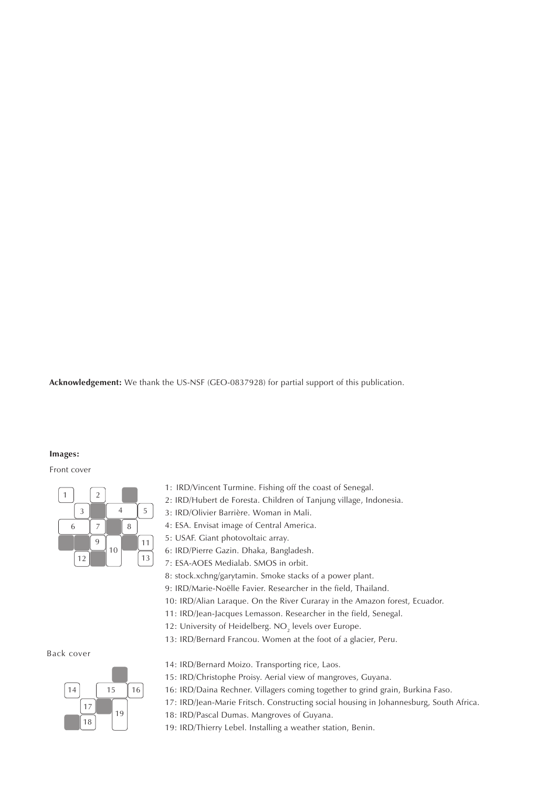**Acknowledgement:** We thank the US-NSF (GEO-0837928) for partial support of this publication.

#### **Images:**

#### Front cover



- 1: IRD/Vincent Turmine. Fishing off the coast of Senegal.
- 2: IRD/Hubert de Foresta. Children of Tanjung village, Indonesia.
- 3: IRD/Olivier Barrière. Woman in Mali.
- 4: ESA. Envisat image of Central America.
- 5: USAF. Giant photovoltaic array.
- 6: IRD/Pierre Gazin. Dhaka, Bangladesh.
- 7: ESA-AOES Medialab. SMOS in orbit.
- 8: stock.xchng/garytamin. Smoke stacks of a power plant.
- 9: IRD/Marie-Noëlle Favier. Researcher in the field, Thailand.
- 10: IRD/Alian Laraque. On the River Curaray in the Amazon forest, Ecuador.
- 11: IRD/Jean-Jacques Lemasson. Researcher in the field, Senegal.
- 12: University of Heidelberg.  $\rm NO_{_2}$  levels over Europe.
- 13: IRD/Bernard Francou. Women at the foot of a glacier, Peru.

Back cover



- 14: IRD/Bernard Moizo. Transporting rice, Laos.
- 15: IRD/Christophe Proisy. Aerial view of mangroves, Guyana.
- 16: IRD/Daina Rechner. Villagers coming together to grind grain, Burkina Faso.
- 17: IRD/Jean-Marie Fritsch. Constructing social housing in Johannesburg, South Africa.
- 18: IRD/Pascal Dumas. Mangroves of Guyana.
- 19: IRD/Thierry Lebel. Installing a weather station, Benin.